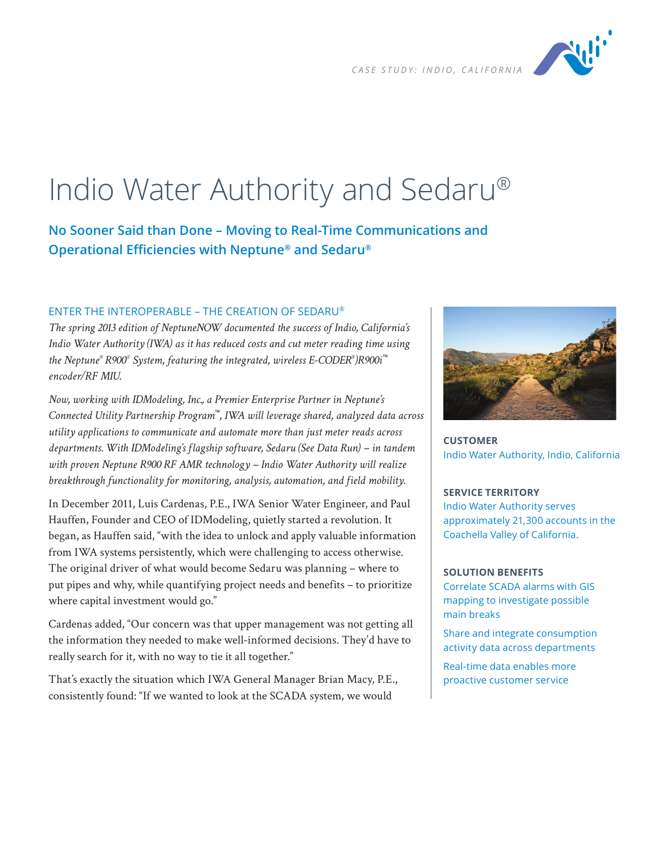

# Indio Water Authority and Sedaru®

**No Sooner Said than Done – Moving to Real-Time Communications and Operational Efficiencies with Neptune® and Sedaru®**

# ENTER THE INTEROPERABLE – THE CREATION OF SEDARU®

*The spring 2013 edition of NeptuneNOW documented the success of Indio, California's Indio Water Authority (IWA) as it has reduced costs and cut meter reading time using the Neptune® R900® System, featuring the integrated, wireless E-CODER® )R900i™ encoder/RF MIU.*

*Now, working with IDModeling, Inc., a Premier Enterprise Partner in Neptune's Connected Utility Partnership Program™, IWA will leverage shared, analyzed data across utility applications to communicate and automate more than just meter reads across departments. With IDModeling's flagship software, Sedaru (See Data Run) – in tandem with proven Neptune R900 RF AMR technology – Indio Water Authority will realize breakthrough functionality for monitoring, analysis, automation, and field mobility.*

In December 2011, Luis Cardenas, P.E., IWA Senior Water Engineer, and Paul Hauffen, Founder and CEO of IDModeling, quietly started a revolution. It began, as Hauffen said, "with the idea to unlock and apply valuable information from IWA systems persistently, which were challenging to access otherwise. The original driver of what would become Sedaru was planning – where to put pipes and why, while quantifying project needs and benefits – to prioritize where capital investment would go."

Cardenas added, "Our concern was that upper management was not getting all the information they needed to make well-informed decisions. They'd have to really search for it, with no way to tie it all together."

That's exactly the situation which IWA General Manager Brian Macy, P.E., consistently found: "If we wanted to look at the SCADA system, we would



**CUSTOMER** Indio Water Authority, Indio, California

#### **SERVICE TERRITORY**

Indio Water Authority serves approximately 21,300 accounts in the Coachella Valley of California.

#### **SOLUTION BENEFITS**

Correlate SCADA alarms with GIS mapping to investigate possible main breaks

Share and integrate consumption activity data across departments

Real-time data enables more proactive customer service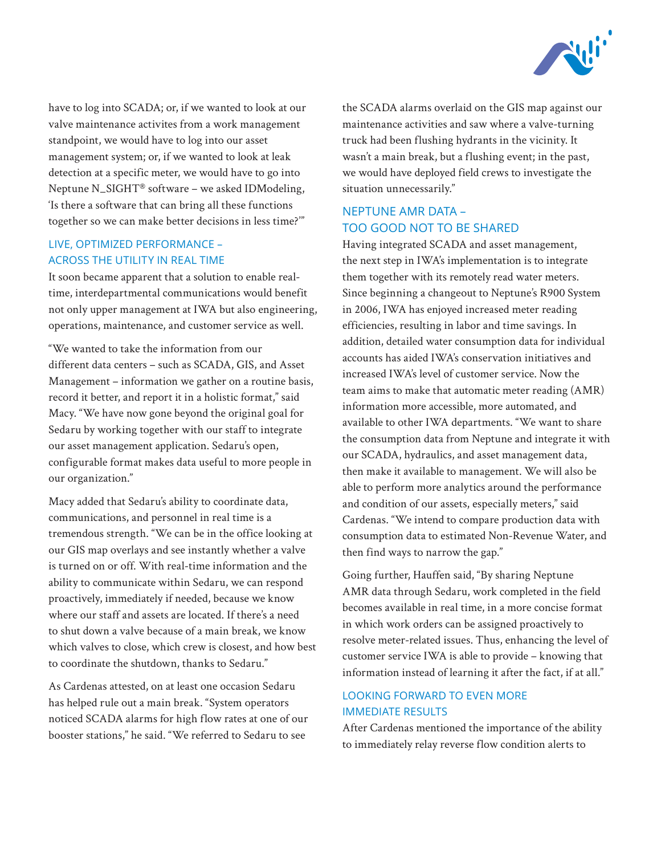

have to log into SCADA; or, if we wanted to look at our valve maintenance activites from a work management standpoint, we would have to log into our asset management system; or, if we wanted to look at leak detection at a specific meter, we would have to go into Neptune N\_SIGHT® software – we asked IDModeling, 'Is there a software that can bring all these functions together so we can make better decisions in less time?'"

# LIVE, OPTIMIZED PERFORMANCE – ACROSS THE UTILITY IN REAL TIME

It soon became apparent that a solution to enable realtime, interdepartmental communications would benefit not only upper management at IWA but also engineering, operations, maintenance, and customer service as well.

"We wanted to take the information from our different data centers – such as SCADA, GIS, and Asset Management – information we gather on a routine basis, record it better, and report it in a holistic format," said Macy. "We have now gone beyond the original goal for Sedaru by working together with our staff to integrate our asset management application. Sedaru's open, configurable format makes data useful to more people in our organization."

Macy added that Sedaru's ability to coordinate data, communications, and personnel in real time is a tremendous strength. "We can be in the office looking at our GIS map overlays and see instantly whether a valve is turned on or off. With real-time information and the ability to communicate within Sedaru, we can respond proactively, immediately if needed, because we know where our staff and assets are located. If there's a need to shut down a valve because of a main break, we know which valves to close, which crew is closest, and how best to coordinate the shutdown, thanks to Sedaru."

As Cardenas attested, on at least one occasion Sedaru has helped rule out a main break. "System operators noticed SCADA alarms for high flow rates at one of our booster stations," he said. "We referred to Sedaru to see

the SCADA alarms overlaid on the GIS map against our maintenance activities and saw where a valve-turning truck had been flushing hydrants in the vicinity. It wasn't a main break, but a flushing event; in the past, we would have deployed field crews to investigate the situation unnecessarily."

# NEPTUNE AMR DATA – TOO GOOD NOT TO BE SHARED

Having integrated SCADA and asset management, the next step in IWA's implementation is to integrate them together with its remotely read water meters. Since beginning a changeout to Neptune's R900 System in 2006, IWA has enjoyed increased meter reading efficiencies, resulting in labor and time savings. In addition, detailed water consumption data for individual accounts has aided IWA's conservation initiatives and increased IWA's level of customer service. Now the team aims to make that automatic meter reading (AMR) information more accessible, more automated, and available to other IWA departments. "We want to share the consumption data from Neptune and integrate it with our SCADA, hydraulics, and asset management data, then make it available to management. We will also be able to perform more analytics around the performance and condition of our assets, especially meters," said Cardenas. "We intend to compare production data with consumption data to estimated Non-Revenue Water, and then find ways to narrow the gap."

Going further, Hauffen said, "By sharing Neptune AMR data through Sedaru, work completed in the field becomes available in real time, in a more concise format in which work orders can be assigned proactively to resolve meter-related issues. Thus, enhancing the level of customer service IWA is able to provide – knowing that information instead of learning it after the fact, if at all."

# LOOKING FORWARD TO EVEN MORE IMMEDIATE RESULTS

After Cardenas mentioned the importance of the ability to immediately relay reverse flow condition alerts to